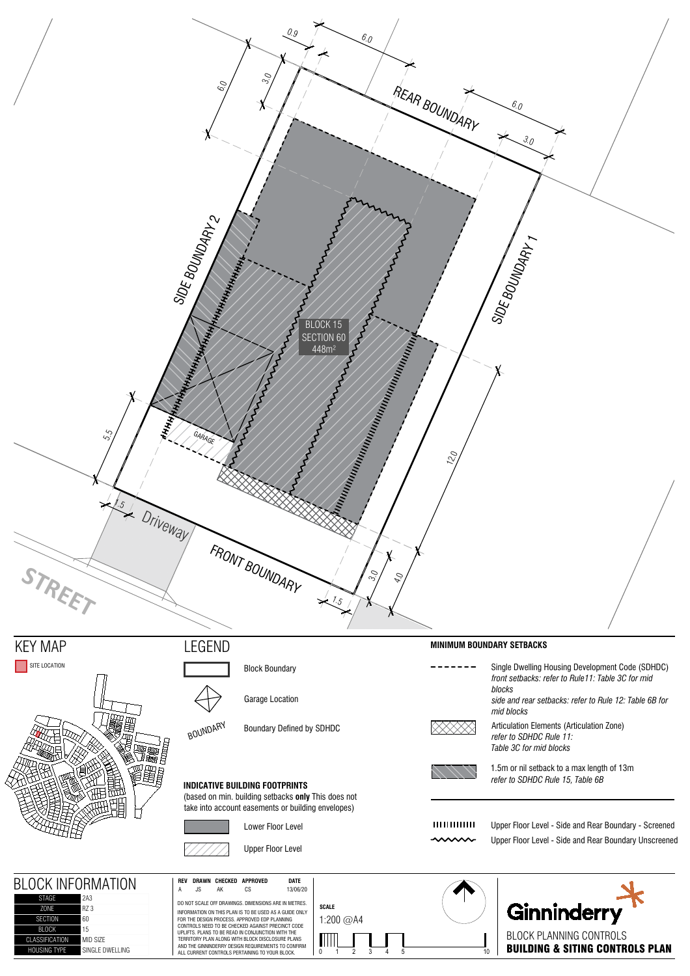